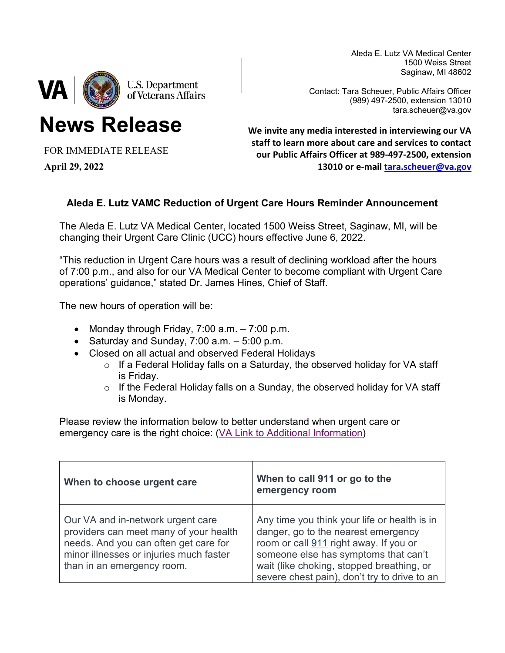Aleda E. Lutz VA Medical Center 1500 Weiss Street Saginaw, MI 48602



**News Release**

Contact: Tara Scheuer, Public Affairs Officer (989) 497-2500, extension 13010 tara.scheuer@va.gov

**We invite any media interested in interviewing our VA staff to learn more about care and services to contact our Public Affairs Officer at 989-497-2500, extension 13010 or e-mail [tara.scheuer@va.gov](mailto:tara.scheuer@va.gov)** 

# **Aleda E. Lutz VAMC Reduction of Urgent Care Hours Reminder Announcement**

The Aleda E. Lutz VA Medical Center, located 1500 Weiss Street, Saginaw, MI, will be changing their Urgent Care Clinic (UCC) hours effective June 6, 2022.

"This reduction in Urgent Care hours was a result of declining workload after the hours of 7:00 p.m., and also for our VA Medical Center to become compliant with Urgent Care operations' guidance," stated Dr. James Hines, Chief of Staff.

The new hours of operation will be:

- Monday through Friday,  $7:00$  a.m.  $-7:00$  p.m.
- Saturday and Sunday,  $7:00$  a.m.  $-5:00$  p.m.
- Closed on all actual and observed Federal Holidays
	- o If a Federal Holiday falls on a Saturday, the observed holiday for VA staff is Friday.
	- $\circ$  If the Federal Holiday falls on a Sunday, the observed holiday for VA staff is Monday.

Please review the information below to better understand when urgent care or emergency care is the right choice: [\(VA Link to Additional Information\)](https://gcc02.safelinks.protection.outlook.com/?url=https%3A%2F%2Fwww.va.gov%2Finitiatives%2Femergency-room-911-or-urgent-care%2F%23%3A%7E%3Atext%3DUrgent%2520care%2520is%2520for%2520non%2Chazardous%2520to%2520life%2520or%2520health&data=04%7C01%7C%7Ca0565d3aaec541b2776d08da10b7e7ed%7Ce95f1b23abaf45ee821db7ab251ab3bf%7C0%7C0%7C637840679289997090%7CUnknown%7CTWFpbGZsb3d8eyJWIjoiMC4wLjAwMDAiLCJQIjoiV2luMzIiLCJBTiI6Ik1haWwiLCJXVCI6Mn0%3D%7C3000&sdata=pEZAvjEclXdBj7uejBXhR5Q6ekqiYDXeUX08elmULgk%3D&reserved=0)

| When to choose urgent care                                                                                                                                                                    | When to call 911 or go to the<br>emergency room                                                                                                                                                                                                                    |
|-----------------------------------------------------------------------------------------------------------------------------------------------------------------------------------------------|--------------------------------------------------------------------------------------------------------------------------------------------------------------------------------------------------------------------------------------------------------------------|
| Our VA and in-network urgent care<br>providers can meet many of your health<br>needs. And you can often get care for<br>minor illnesses or injuries much faster<br>than in an emergency room. | Any time you think your life or health is in<br>danger, go to the nearest emergency<br>room or call 911 right away. If you or<br>someone else has symptoms that can't<br>wait (like choking, stopped breathing, or<br>severe chest pain), don't try to drive to an |

FOR IMMEDIATE RELEASE

**April 29, 2022**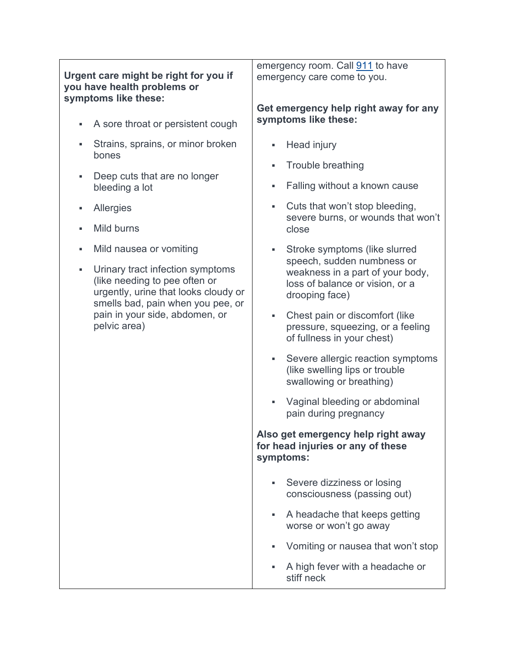| Urgent care might be right for you if<br>you have health problems or |                                                                                                                                                                                                  | emergency room. Call 911 to have<br>emergency care come to you. |                                                                                                                     |  |
|----------------------------------------------------------------------|--------------------------------------------------------------------------------------------------------------------------------------------------------------------------------------------------|-----------------------------------------------------------------|---------------------------------------------------------------------------------------------------------------------|--|
| ٠                                                                    | symptoms like these:<br>A sore throat or persistent cough                                                                                                                                        |                                                                 | Get emergency help right away for any<br>symptoms like these:                                                       |  |
| ٠                                                                    | Strains, sprains, or minor broken                                                                                                                                                                | ٠                                                               | Head injury                                                                                                         |  |
|                                                                      | bones                                                                                                                                                                                            | ш                                                               | Trouble breathing                                                                                                   |  |
| ٠                                                                    | Deep cuts that are no longer<br>bleeding a lot                                                                                                                                                   | ш                                                               | Falling without a known cause                                                                                       |  |
|                                                                      | Allergies                                                                                                                                                                                        |                                                                 | Cuts that won't stop bleeding,<br>severe burns, or wounds that won't                                                |  |
| ٠                                                                    | Mild burns                                                                                                                                                                                       |                                                                 | close                                                                                                               |  |
| ٠                                                                    | Mild nausea or vomiting                                                                                                                                                                          | a s                                                             | Stroke symptoms (like slurred                                                                                       |  |
| ٠                                                                    | Urinary tract infection symptoms<br>(like needing to pee often or<br>urgently, urine that looks cloudy or<br>smells bad, pain when you pee, or<br>pain in your side, abdomen, or<br>pelvic area) |                                                                 | speech, sudden numbness or<br>weakness in a part of your body,<br>loss of balance or vision, or a<br>drooping face) |  |
|                                                                      |                                                                                                                                                                                                  | ٠.                                                              | Chest pain or discomfort (like<br>pressure, squeezing, or a feeling<br>of fullness in your chest)                   |  |
|                                                                      |                                                                                                                                                                                                  | ٠                                                               | Severe allergic reaction symptoms<br>(like swelling lips or trouble<br>swallowing or breathing)                     |  |
|                                                                      |                                                                                                                                                                                                  |                                                                 | Vaginal bleeding or abdominal<br>pain during pregnancy                                                              |  |
|                                                                      |                                                                                                                                                                                                  | symptoms:                                                       | Also get emergency help right away<br>for head injuries or any of these                                             |  |
|                                                                      |                                                                                                                                                                                                  | ٠                                                               | Severe dizziness or losing<br>consciousness (passing out)                                                           |  |
|                                                                      |                                                                                                                                                                                                  | $\blacksquare$                                                  | A headache that keeps getting<br>worse or won't go away                                                             |  |
|                                                                      |                                                                                                                                                                                                  | ٠                                                               | Vomiting or nausea that won't stop                                                                                  |  |
|                                                                      |                                                                                                                                                                                                  |                                                                 | A high fever with a headache or<br>stiff neck                                                                       |  |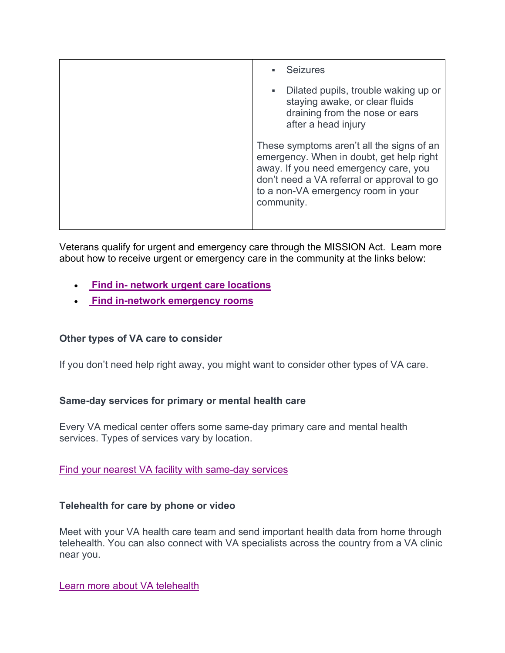| <b>Seizures</b>                                                                                                                                                                                                                  |
|----------------------------------------------------------------------------------------------------------------------------------------------------------------------------------------------------------------------------------|
| Dilated pupils, trouble waking up or<br>٠<br>staying awake, or clear fluids<br>draining from the nose or ears<br>after a head injury                                                                                             |
| These symptoms aren't all the signs of an<br>emergency. When in doubt, get help right<br>away. If you need emergency care, you<br>don't need a VA referral or approval to go<br>to a non-VA emergency room in your<br>community. |

Veterans qualify for urgent and emergency care through the MISSION Act. Learn more about how to receive urgent or emergency care in the community at the links below:

- **[Find in- network urgent care locations](https://gcc02.safelinks.protection.outlook.com/?url=https%3A%2F%2Fwww.va.gov%2Ffind-locations%2F%3FfacilityType%3Durgent_care&data=04%7C01%7C%7Ca0565d3aaec541b2776d08da10b7e7ed%7Ce95f1b23abaf45ee821db7ab251ab3bf%7C0%7C0%7C637840679289997090%7CUnknown%7CTWFpbGZsb3d8eyJWIjoiMC4wLjAwMDAiLCJQIjoiV2luMzIiLCJBTiI6Ik1haWwiLCJXVCI6Mn0%3D%7C3000&sdata=juFgE%2BUSgSdaqbIlma39Lqsu2zF7EHrqt9bLbLhdfZs%3D&reserved=0)**
- **[Find in-network emergency rooms](https://gcc02.safelinks.protection.outlook.com/?url=https%3A%2F%2Fwww.va.gov%2Ffind-locations%2F%3FfacilityType%3Demergency_care&data=04%7C01%7C%7Ca0565d3aaec541b2776d08da10b7e7ed%7Ce95f1b23abaf45ee821db7ab251ab3bf%7C0%7C0%7C637840679289997090%7CUnknown%7CTWFpbGZsb3d8eyJWIjoiMC4wLjAwMDAiLCJQIjoiV2luMzIiLCJBTiI6Ik1haWwiLCJXVCI6Mn0%3D%7C3000&sdata=McccE9KmR5o3OgTtRXnA05t4C76AjFx%2BLK3pFM4j1ww%3D&reserved=0)**

## **Other types of VA care to consider**

If you don't need help right away, you might want to consider other types of VA care.

### **Same-day services for primary or mental health care**

Every VA medical center offers some same-day primary care and mental health services. Types of services vary by location.

### [Find your nearest VA facility with same-day services](https://gcc02.safelinks.protection.outlook.com/?url=https%3A%2F%2Fwww.accesstopwt.va.gov%2FPWT%2FSameDayService&data=04%7C01%7C%7Ca0565d3aaec541b2776d08da10b7e7ed%7Ce95f1b23abaf45ee821db7ab251ab3bf%7C0%7C0%7C637840679289997090%7CUnknown%7CTWFpbGZsb3d8eyJWIjoiMC4wLjAwMDAiLCJQIjoiV2luMzIiLCJBTiI6Ik1haWwiLCJXVCI6Mn0%3D%7C3000&sdata=v1hr3wq38xc7zBYZlO%2BRysnrLw50lW3HCDYG4KM4c2E%3D&reserved=0)

### **Telehealth for care by phone or video**

Meet with your VA health care team and send important health data from home through telehealth. You can also connect with VA specialists across the country from a VA clinic near you.

[Learn more about VA telehealth](https://gcc02.safelinks.protection.outlook.com/?url=https%3A%2F%2Ftelehealth.va.gov%2F&data=04%7C01%7C%7Ca0565d3aaec541b2776d08da10b7e7ed%7Ce95f1b23abaf45ee821db7ab251ab3bf%7C0%7C0%7C637840679289997090%7CUnknown%7CTWFpbGZsb3d8eyJWIjoiMC4wLjAwMDAiLCJQIjoiV2luMzIiLCJBTiI6Ik1haWwiLCJXVCI6Mn0%3D%7C3000&sdata=dss3xg9W%2F1GcGbBZHSRa7%2B70%2FitRVaim4zJOkJgHhl8%3D&reserved=0)